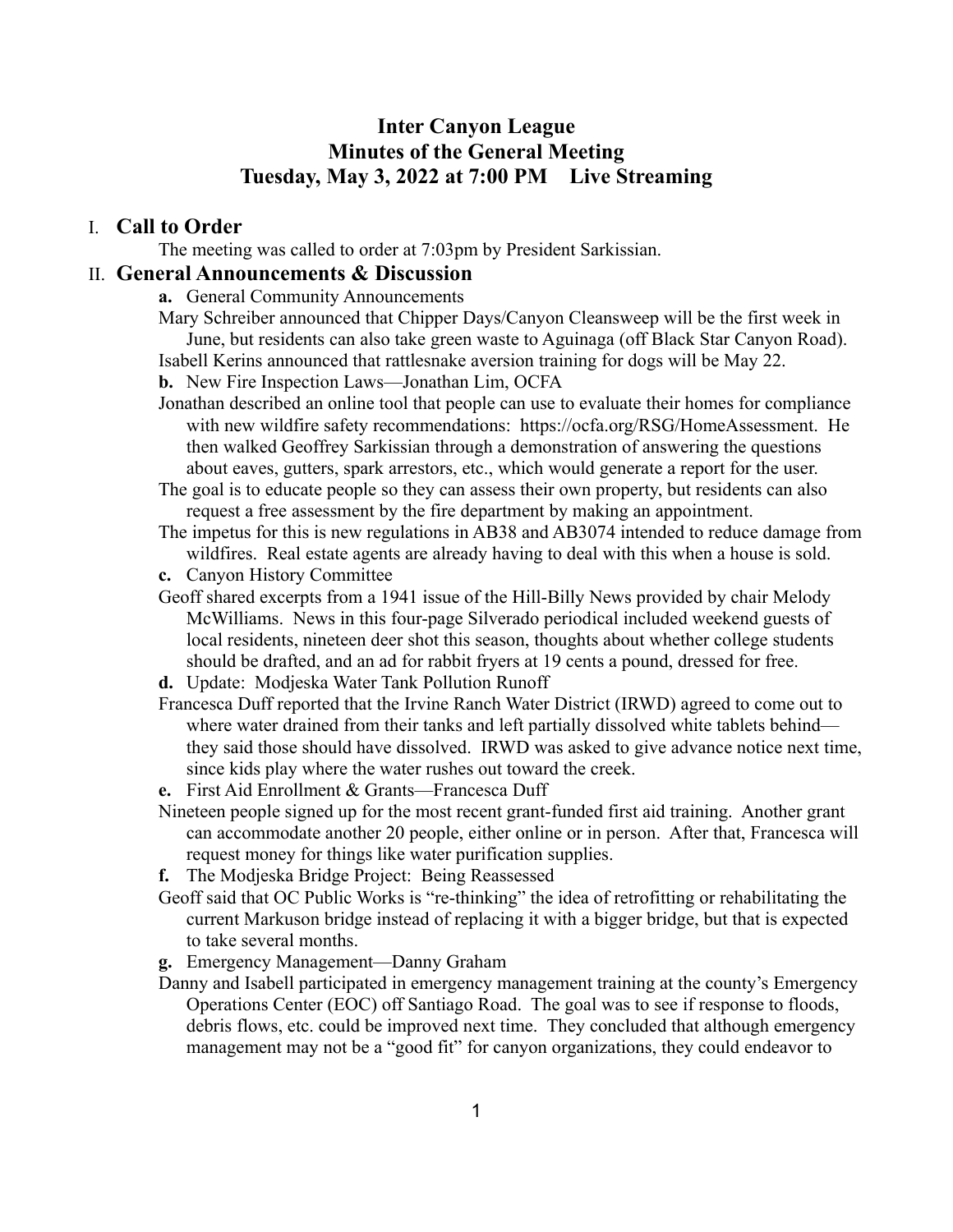## **Inter Canyon League Minutes of the General Meeting Tuesday, May 3, 2022 at 7:00 PM Live Streaming**

#### I. **Call to Order**

The meeting was called to order at 7:03pm by President Sarkissian.

#### II. **General Announcements & Discussion**

- **a.** General Community Announcements
- Mary Schreiber announced that Chipper Days/Canyon Cleansweep will be the first week in June, but residents can also take green waste to Aguinaga (off Black Star Canyon Road). Isabell Kerins announced that rattlesnake aversion training for dogs will be May 22.

**b.** New Fire Inspection Laws—Jonathan Lim, OCFA

Jonathan described an online tool that people can use to evaluate their homes for compliance with new wildfire safety recommendations: https://ocfa.org/RSG/HomeAssessment. He then walked Geoffrey Sarkissian through a demonstration of answering the questions about eaves, gutters, spark arrestors, etc., which would generate a report for the user.

The goal is to educate people so they can assess their own property, but residents can also request a free assessment by the fire department by making an appointment.

- The impetus for this is new regulations in AB38 and AB3074 intended to reduce damage from wildfires. Real estate agents are already having to deal with this when a house is sold.
- **c.** Canyon History Committee
- Geoff shared excerpts from a 1941 issue of the Hill-Billy News provided by chair Melody McWilliams. News in this four-page Silverado periodical included weekend guests of local residents, nineteen deer shot this season, thoughts about whether college students should be drafted, and an ad for rabbit fryers at 19 cents a pound, dressed for free.
- **d.** Update: Modjeska Water Tank Pollution Runoff
- Francesca Duff reported that the Irvine Ranch Water District (IRWD) agreed to come out to where water drained from their tanks and left partially dissolved white tablets behind they said those should have dissolved. IRWD was asked to give advance notice next time, since kids play where the water rushes out toward the creek.
- **e.** First Aid Enrollment & Grants—Francesca Duff
- Nineteen people signed up for the most recent grant-funded first aid training. Another grant can accommodate another 20 people, either online or in person. After that, Francesca will request money for things like water purification supplies.
- **f.** The Modjeska Bridge Project: Being Reassessed
- Geoff said that OC Public Works is "re-thinking" the idea of retrofitting or rehabilitating the current Markuson bridge instead of replacing it with a bigger bridge, but that is expected to take several months.
- **g.** Emergency Management—Danny Graham
- Danny and Isabell participated in emergency management training at the county's Emergency Operations Center (EOC) off Santiago Road. The goal was to see if response to floods, debris flows, etc. could be improved next time. They concluded that although emergency management may not be a "good fit" for canyon organizations, they could endeavor to